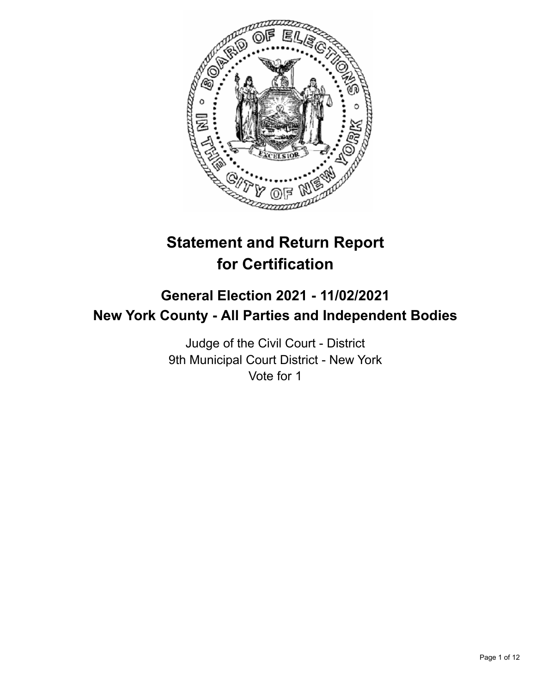

# **Statement and Return Report for Certification**

# **General Election 2021 - 11/02/2021 New York County - All Parties and Independent Bodies**

Judge of the Civil Court - District 9th Municipal Court District - New York Vote for 1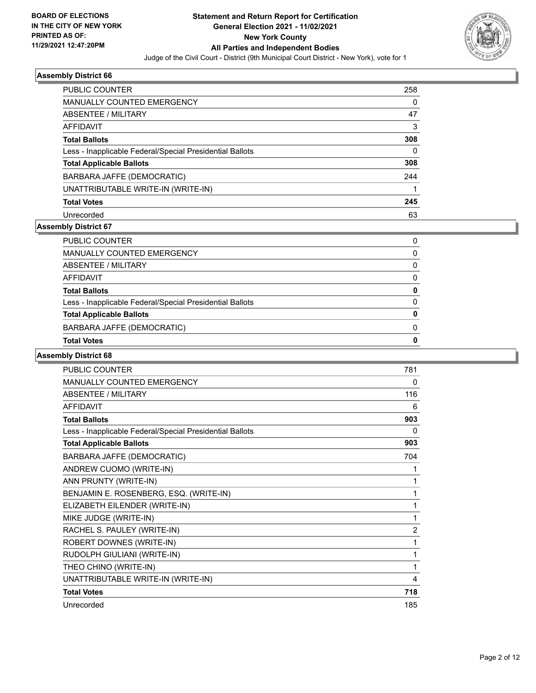

| <b>PUBLIC COUNTER</b>                                    | 258      |
|----------------------------------------------------------|----------|
| <b>MANUALLY COUNTED EMERGENCY</b>                        | 0        |
| ABSENTEE / MILITARY                                      | 47       |
| AFFIDAVIT                                                | 3        |
| <b>Total Ballots</b>                                     | 308      |
| Less - Inapplicable Federal/Special Presidential Ballots | $\Omega$ |
| <b>Total Applicable Ballots</b>                          | 308      |
| BARBARA JAFFE (DEMOCRATIC)                               | 244      |
| UNATTRIBUTABLE WRITE-IN (WRITE-IN)                       |          |
| <b>Total Votes</b>                                       | 245      |
| Unrecorded                                               | 63       |

### **Assembly District 67**

| <b>Total Votes</b>                                       | 0        |
|----------------------------------------------------------|----------|
| BARBARA JAFFE (DEMOCRATIC)                               | $\Omega$ |
| <b>Total Applicable Ballots</b>                          | 0        |
| Less - Inapplicable Federal/Special Presidential Ballots | 0        |
| <b>Total Ballots</b>                                     | 0        |
| AFFIDAVIT                                                | $\Omega$ |
| <b>ABSENTEE / MILITARY</b>                               | $\Omega$ |
| MANUALLY COUNTED EMERGENCY                               | 0        |
| PUBLIC COUNTER                                           | 0        |

| PUBLIC COUNTER                                           | 781            |
|----------------------------------------------------------|----------------|
| MANUALLY COUNTED EMERGENCY                               | 0              |
| <b>ABSENTEE / MILITARY</b>                               | 116            |
| <b>AFFIDAVIT</b>                                         | 6              |
| <b>Total Ballots</b>                                     | 903            |
| Less - Inapplicable Federal/Special Presidential Ballots | $\Omega$       |
| <b>Total Applicable Ballots</b>                          | 903            |
| BARBARA JAFFE (DEMOCRATIC)                               | 704            |
| ANDREW CUOMO (WRITE-IN)                                  | 1              |
| ANN PRUNTY (WRITE-IN)                                    | 1              |
| BENJAMIN E. ROSENBERG, ESQ. (WRITE-IN)                   |                |
| ELIZABETH EILENDER (WRITE-IN)                            | 1              |
| MIKE JUDGE (WRITE-IN)                                    | 1              |
| RACHEL S. PAULEY (WRITE-IN)                              | $\overline{2}$ |
| ROBERT DOWNES (WRITE-IN)                                 | 1              |
| RUDOLPH GIULIANI (WRITE-IN)                              | 1              |
| THEO CHINO (WRITE-IN)                                    | 1              |
| UNATTRIBUTABLE WRITE-IN (WRITE-IN)                       | 4              |
| <b>Total Votes</b>                                       | 718            |
| Unrecorded                                               | 185            |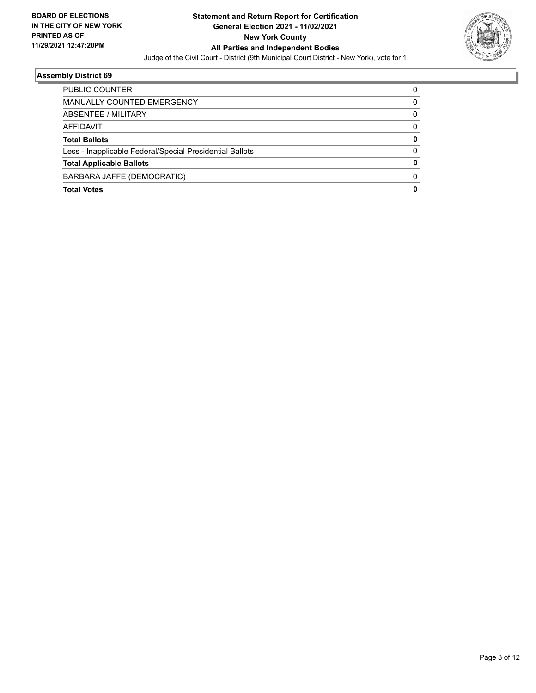

| <b>PUBLIC COUNTER</b>                                    |   |
|----------------------------------------------------------|---|
| <b>MANUALLY COUNTED EMERGENCY</b>                        | 0 |
| <b>ABSENTEE / MILITARY</b>                               | 0 |
| AFFIDAVIT                                                | 0 |
| <b>Total Ballots</b>                                     | 0 |
| Less - Inapplicable Federal/Special Presidential Ballots | 0 |
| <b>Total Applicable Ballots</b>                          | 0 |
| BARBARA JAFFE (DEMOCRATIC)                               | 0 |
| <b>Total Votes</b>                                       | 0 |
|                                                          |   |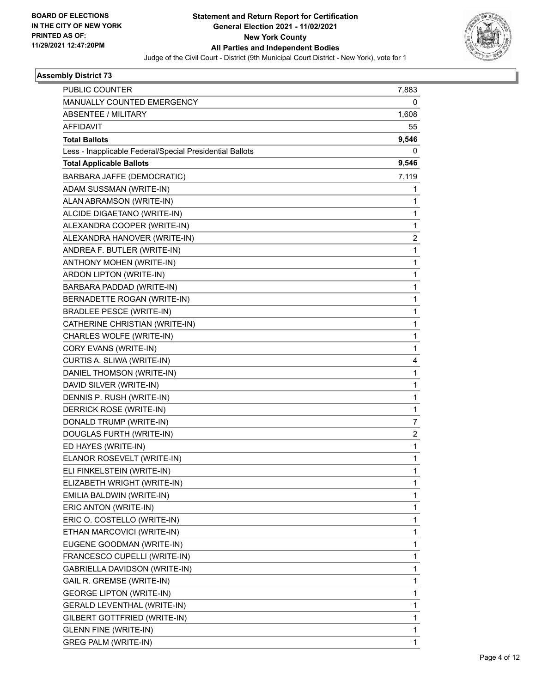

| PUBLIC COUNTER                                           | 7,883                   |
|----------------------------------------------------------|-------------------------|
| MANUALLY COUNTED EMERGENCY                               | 0                       |
| ABSENTEE / MILITARY                                      | 1,608                   |
| <b>AFFIDAVIT</b>                                         | 55                      |
| <b>Total Ballots</b>                                     | 9,546                   |
| Less - Inapplicable Federal/Special Presidential Ballots | 0                       |
| <b>Total Applicable Ballots</b>                          | 9,546                   |
| BARBARA JAFFE (DEMOCRATIC)                               | 7,119                   |
| ADAM SUSSMAN (WRITE-IN)                                  | 1                       |
| ALAN ABRAMSON (WRITE-IN)                                 | 1                       |
| ALCIDE DIGAETANO (WRITE-IN)                              | 1                       |
| ALEXANDRA COOPER (WRITE-IN)                              | 1                       |
| ALEXANDRA HANOVER (WRITE-IN)                             | 2                       |
| ANDREA F. BUTLER (WRITE-IN)                              | 1                       |
| ANTHONY MOHEN (WRITE-IN)                                 | 1                       |
| ARDON LIPTON (WRITE-IN)                                  | 1                       |
| BARBARA PADDAD (WRITE-IN)                                | 1                       |
| BERNADETTE ROGAN (WRITE-IN)                              | 1                       |
| <b>BRADLEE PESCE (WRITE-IN)</b>                          | 1                       |
| CATHERINE CHRISTIAN (WRITE-IN)                           | 1                       |
| CHARLES WOLFE (WRITE-IN)                                 | 1                       |
| CORY EVANS (WRITE-IN)                                    | 1                       |
| CURTIS A. SLIWA (WRITE-IN)                               | 4                       |
| DANIEL THOMSON (WRITE-IN)                                | 1                       |
| DAVID SILVER (WRITE-IN)                                  | 1                       |
| DENNIS P. RUSH (WRITE-IN)                                | 1                       |
| DERRICK ROSE (WRITE-IN)                                  | 1                       |
| DONALD TRUMP (WRITE-IN)                                  | 7                       |
| DOUGLAS FURTH (WRITE-IN)                                 | $\overline{\mathbf{c}}$ |
| ED HAYES (WRITE-IN)                                      | 1                       |
| ELANOR ROSEVELT (WRITE-IN)                               | 1                       |
| ELI FINKELSTEIN (WRITE-IN)                               | 1                       |
| ELIZABETH WRIGHT (WRITE-IN)                              | 1                       |
| EMILIA BALDWIN (WRITE-IN)                                | 1                       |
| ERIC ANTON (WRITE-IN)                                    | 1                       |
| ERIC O. COSTELLO (WRITE-IN)                              | 1                       |
| ETHAN MARCOVICI (WRITE-IN)                               | 1                       |
| EUGENE GOODMAN (WRITE-IN)                                | 1                       |
| FRANCESCO CUPELLI (WRITE-IN)                             | 1                       |
| GABRIELLA DAVIDSON (WRITE-IN)                            | 1                       |
| GAIL R. GREMSE (WRITE-IN)                                | 1                       |
| <b>GEORGE LIPTON (WRITE-IN)</b>                          | 1                       |
| <b>GERALD LEVENTHAL (WRITE-IN)</b>                       | 1                       |
| GILBERT GOTTFRIED (WRITE-IN)                             | 1                       |
| <b>GLENN FINE (WRITE-IN)</b>                             | 1                       |
| <b>GREG PALM (WRITE-IN)</b>                              | 1                       |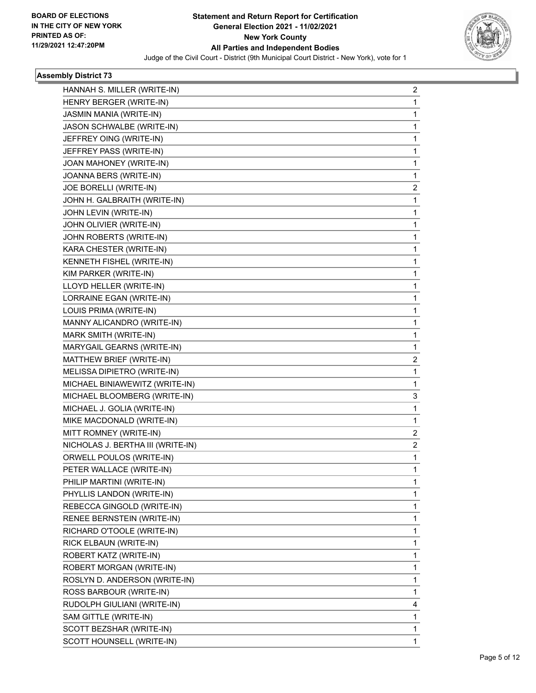

| HANNAH S. MILLER (WRITE-IN)       | 2              |
|-----------------------------------|----------------|
| HENRY BERGER (WRITE-IN)           | 1              |
| JASMIN MANIA (WRITE-IN)           | 1              |
| JASON SCHWALBE (WRITE-IN)         | 1              |
| JEFFREY OING (WRITE-IN)           | 1              |
| JEFFREY PASS (WRITE-IN)           | 1              |
| JOAN MAHONEY (WRITE-IN)           | 1              |
| JOANNA BERS (WRITE-IN)            | 1              |
| JOE BORELLI (WRITE-IN)            | 2              |
| JOHN H. GALBRAITH (WRITE-IN)      | 1              |
| JOHN LEVIN (WRITE-IN)             | 1              |
| JOHN OLIVIER (WRITE-IN)           | 1              |
| JOHN ROBERTS (WRITE-IN)           | 1              |
| KARA CHESTER (WRITE-IN)           | 1              |
| KENNETH FISHEL (WRITE-IN)         | 1              |
| KIM PARKER (WRITE-IN)             | 1              |
| LLOYD HELLER (WRITE-IN)           | 1              |
| LORRAINE EGAN (WRITE-IN)          | 1              |
| LOUIS PRIMA (WRITE-IN)            | 1              |
| MANNY ALICANDRO (WRITE-IN)        | 1              |
| MARK SMITH (WRITE-IN)             | 1              |
| MARYGAIL GEARNS (WRITE-IN)        | 1              |
| MATTHEW BRIEF (WRITE-IN)          | 2              |
| MELISSA DIPIETRO (WRITE-IN)       | 1              |
| MICHAEL BINIAWEWITZ (WRITE-IN)    | 1              |
| MICHAEL BLOOMBERG (WRITE-IN)      | 3              |
| MICHAEL J. GOLIA (WRITE-IN)       | 1              |
| MIKE MACDONALD (WRITE-IN)         | 1              |
| MITT ROMNEY (WRITE-IN)            | 2              |
| NICHOLAS J. BERTHA III (WRITE-IN) | $\overline{2}$ |
| ORWELL POULOS (WRITE-IN)          | 1              |
| PETER WALLACE (WRITE-IN)          | 1              |
| PHILIP MARTINI (WRITE-IN)         | 1              |
| PHYLLIS LANDON (WRITE-IN)         | 1              |
| REBECCA GINGOLD (WRITE-IN)        | 1              |
| RENEE BERNSTEIN (WRITE-IN)        | 1              |
| RICHARD O'TOOLE (WRITE-IN)        | 1              |
| RICK ELBAUN (WRITE-IN)            | 1              |
| ROBERT KATZ (WRITE-IN)            | 1              |
| ROBERT MORGAN (WRITE-IN)          | 1              |
| ROSLYN D. ANDERSON (WRITE-IN)     | 1              |
| ROSS BARBOUR (WRITE-IN)           | 1              |
| RUDOLPH GIULIANI (WRITE-IN)       | 4              |
| SAM GITTLE (WRITE-IN)             | 1              |
| SCOTT BEZSHAR (WRITE-IN)          | 1              |
| SCOTT HOUNSELL (WRITE-IN)         | 1              |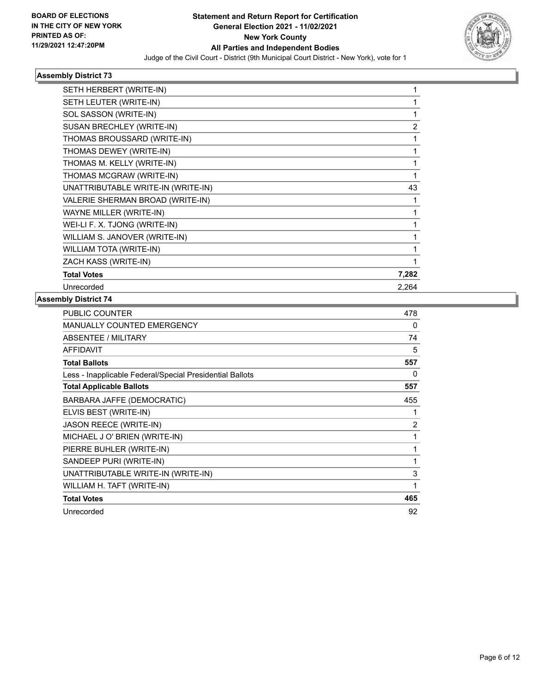

| SETH HERBERT (WRITE-IN)            |       |
|------------------------------------|-------|
| SETH LEUTER (WRITE-IN)             |       |
| SOL SASSON (WRITE-IN)              | 1     |
| SUSAN BRECHLEY (WRITE-IN)          | 2     |
| THOMAS BROUSSARD (WRITE-IN)        | 1     |
| THOMAS DEWEY (WRITE-IN)            | 1     |
| THOMAS M. KELLY (WRITE-IN)         | 1     |
| THOMAS MCGRAW (WRITE-IN)           |       |
| UNATTRIBUTABLE WRITE-IN (WRITE-IN) | 43    |
| VALERIE SHERMAN BROAD (WRITE-IN)   | 1     |
| WAYNE MILLER (WRITE-IN)            | 1     |
| WEI-LI F. X. TJONG (WRITE-IN)      | 1     |
| WILLIAM S. JANOVER (WRITE-IN)      | 1     |
| <b>WILLIAM TOTA (WRITE-IN)</b>     |       |
| ZACH KASS (WRITE-IN)               |       |
| <b>Total Votes</b>                 | 7,282 |
| Unrecorded                         | 2,264 |
|                                    |       |

| PUBLIC COUNTER                                           | 478 |
|----------------------------------------------------------|-----|
| MANUALLY COUNTED EMERGENCY                               | 0   |
| <b>ABSENTEE / MILITARY</b>                               | 74  |
| <b>AFFIDAVIT</b>                                         | 5   |
| <b>Total Ballots</b>                                     | 557 |
| Less - Inapplicable Federal/Special Presidential Ballots | 0   |
| <b>Total Applicable Ballots</b>                          | 557 |
| BARBARA JAFFE (DEMOCRATIC)                               | 455 |
| ELVIS BEST (WRITE-IN)                                    | 1   |
| JASON REECE (WRITE-IN)                                   | 2   |
| MICHAEL J O' BRIEN (WRITE-IN)                            | 1   |
| PIERRE BUHLER (WRITE-IN)                                 | 1   |
| SANDEEP PURI (WRITE-IN)                                  | 1   |
| UNATTRIBUTABLE WRITE-IN (WRITE-IN)                       | 3   |
| WILLIAM H. TAFT (WRITE-IN)                               | 1   |
| <b>Total Votes</b>                                       | 465 |
| Unrecorded                                               | 92  |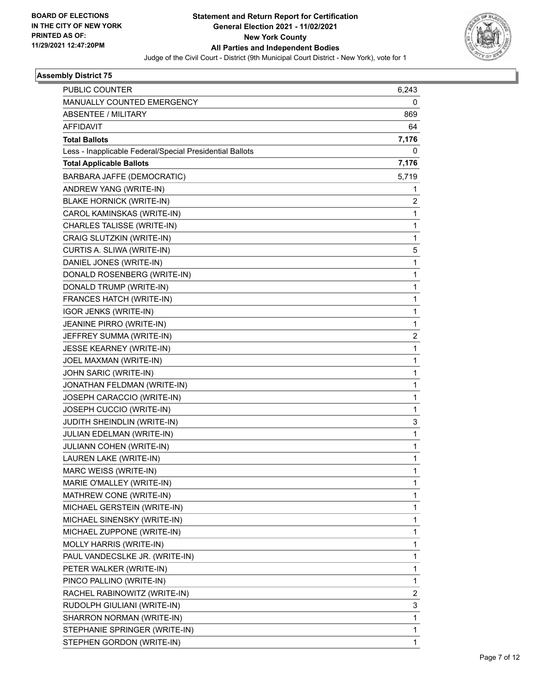

| PUBLIC COUNTER                                           | 6,243        |
|----------------------------------------------------------|--------------|
| MANUALLY COUNTED EMERGENCY                               | 0            |
| <b>ABSENTEE / MILITARY</b>                               | 869          |
| <b>AFFIDAVIT</b>                                         | 64           |
| <b>Total Ballots</b>                                     | 7,176        |
| Less - Inapplicable Federal/Special Presidential Ballots | 0            |
| <b>Total Applicable Ballots</b>                          | 7,176        |
| BARBARA JAFFE (DEMOCRATIC)                               | 5,719        |
| ANDREW YANG (WRITE-IN)                                   | 1            |
| <b>BLAKE HORNICK (WRITE-IN)</b>                          | 2            |
| CAROL KAMINSKAS (WRITE-IN)                               | 1            |
| CHARLES TALISSE (WRITE-IN)                               | 1            |
| CRAIG SLUTZKIN (WRITE-IN)                                | 1            |
| CURTIS A. SLIWA (WRITE-IN)                               | 5            |
| DANIEL JONES (WRITE-IN)                                  | $\mathbf 1$  |
| DONALD ROSENBERG (WRITE-IN)                              | 1            |
| DONALD TRUMP (WRITE-IN)                                  | 1            |
| FRANCES HATCH (WRITE-IN)                                 | $\mathbf 1$  |
| IGOR JENKS (WRITE-IN)                                    | 1            |
| JEANINE PIRRO (WRITE-IN)                                 | 1            |
| JEFFREY SUMMA (WRITE-IN)                                 | 2            |
| JESSE KEARNEY (WRITE-IN)                                 | 1            |
| JOEL MAXMAN (WRITE-IN)                                   | 1            |
| JOHN SARIC (WRITE-IN)                                    | $\mathbf{1}$ |
| JONATHAN FELDMAN (WRITE-IN)                              | 1            |
| JOSEPH CARACCIO (WRITE-IN)                               | 1            |
| JOSEPH CUCCIO (WRITE-IN)                                 | 1            |
| JUDITH SHEINDLIN (WRITE-IN)                              | 3            |
| JULIAN EDELMAN (WRITE-IN)                                | $\mathbf{1}$ |
| JULIANN COHEN (WRITE-IN)                                 | 1            |
| LAUREN LAKE (WRITE-IN)                                   | 1            |
| MARC WEISS (WRITE-IN)                                    | 1            |
| MARIE O'MALLEY (WRITE-IN)                                | 1            |
| MATHREW CONE (WRITE-IN)                                  | 1            |
| MICHAEL GERSTEIN (WRITE-IN)                              | 1            |
| MICHAEL SINENSKY (WRITE-IN)                              | 1            |
| MICHAEL ZUPPONE (WRITE-IN)                               | 1            |
| MOLLY HARRIS (WRITE-IN)                                  | 1            |
| PAUL VANDECSLKE JR. (WRITE-IN)                           | 1            |
| PETER WALKER (WRITE-IN)                                  | 1            |
| PINCO PALLINO (WRITE-IN)                                 | 1            |
| RACHEL RABINOWITZ (WRITE-IN)                             | 2            |
| RUDOLPH GIULIANI (WRITE-IN)                              | 3            |
| SHARRON NORMAN (WRITE-IN)                                | 1            |
| STEPHANIE SPRINGER (WRITE-IN)                            | 1            |
| STEPHEN GORDON (WRITE-IN)                                | 1            |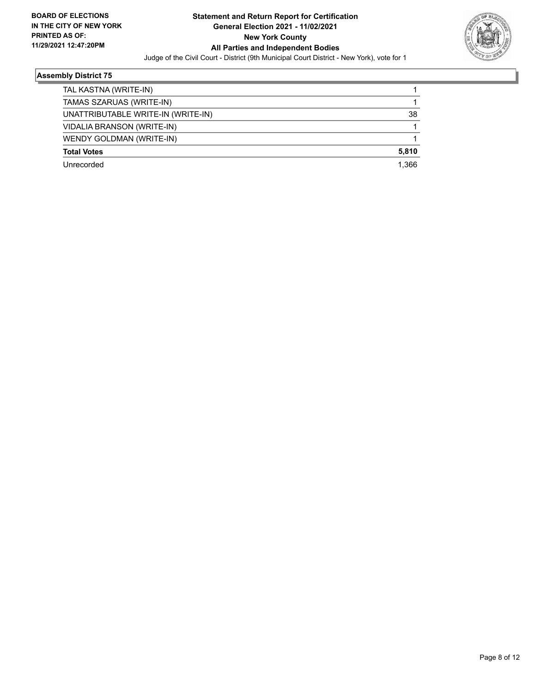

| TAL KASTNA (WRITE-IN)              |       |
|------------------------------------|-------|
| TAMAS SZARUAS (WRITE-IN)           |       |
| UNATTRIBUTABLE WRITE-IN (WRITE-IN) | 38    |
| <b>VIDALIA BRANSON (WRITE-IN)</b>  |       |
| WENDY GOLDMAN (WRITE-IN)           |       |
| <b>Total Votes</b>                 | 5.810 |
| Unrecorded                         | 1.366 |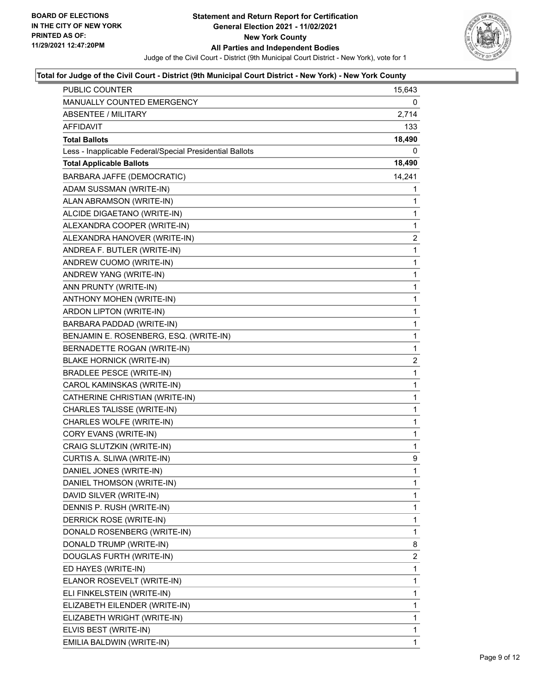

| PUBLIC COUNTER                                           | 15,643         |
|----------------------------------------------------------|----------------|
| MANUALLY COUNTED EMERGENCY                               | 0              |
| <b>ABSENTEE / MILITARY</b>                               | 2,714          |
| AFFIDAVIT                                                | 133            |
| <b>Total Ballots</b>                                     | 18,490         |
| Less - Inapplicable Federal/Special Presidential Ballots | 0              |
| <b>Total Applicable Ballots</b>                          | 18,490         |
| BARBARA JAFFE (DEMOCRATIC)                               | 14,241         |
| ADAM SUSSMAN (WRITE-IN)                                  | 1              |
| ALAN ABRAMSON (WRITE-IN)                                 | 1              |
| ALCIDE DIGAETANO (WRITE-IN)                              | 1              |
| ALEXANDRA COOPER (WRITE-IN)                              | 1              |
| ALEXANDRA HANOVER (WRITE-IN)                             | $\overline{2}$ |
| ANDREA F. BUTLER (WRITE-IN)                              | 1              |
| ANDREW CUOMO (WRITE-IN)                                  | 1              |
| ANDREW YANG (WRITE-IN)                                   | 1              |
| ANN PRUNTY (WRITE-IN)                                    | 1              |
| ANTHONY MOHEN (WRITE-IN)                                 | 1              |
| ARDON LIPTON (WRITE-IN)                                  | 1              |
| BARBARA PADDAD (WRITE-IN)                                | 1              |
| BENJAMIN E. ROSENBERG, ESQ. (WRITE-IN)                   | 1              |
| BERNADETTE ROGAN (WRITE-IN)                              | 1              |
| <b>BLAKE HORNICK (WRITE-IN)</b>                          | $\overline{a}$ |
| <b>BRADLEE PESCE (WRITE-IN)</b>                          | 1              |
| CAROL KAMINSKAS (WRITE-IN)                               | 1              |
| CATHERINE CHRISTIAN (WRITE-IN)                           | 1              |
| CHARLES TALISSE (WRITE-IN)                               | 1              |
| CHARLES WOLFE (WRITE-IN)                                 | 1              |
| CORY EVANS (WRITE-IN)                                    | 1              |
| CRAIG SLUTZKIN (WRITE-IN)                                | 1              |
| CURTIS A. SLIWA (WRITE-IN)                               | 9              |
| DANIEL JONES (WRITE-IN)                                  | 1              |
| DANIEL THOMSON (WRITE-IN)                                | 1              |
| DAVID SILVER (WRITE-IN)                                  | 1              |
| DENNIS P. RUSH (WRITE-IN)                                | 1              |
| DERRICK ROSE (WRITE-IN)                                  | 1              |
| DONALD ROSENBERG (WRITE-IN)                              | 1              |
| DONALD TRUMP (WRITE-IN)                                  | 8              |
| DOUGLAS FURTH (WRITE-IN)                                 | $\overline{2}$ |
| ED HAYES (WRITE-IN)                                      | 1              |
| ELANOR ROSEVELT (WRITE-IN)                               | 1              |
| ELI FINKELSTEIN (WRITE-IN)                               | 1              |
| ELIZABETH EILENDER (WRITE-IN)                            | 1              |
| ELIZABETH WRIGHT (WRITE-IN)                              | 1              |
| ELVIS BEST (WRITE-IN)                                    | 1              |
| EMILIA BALDWIN (WRITE-IN)                                | 1              |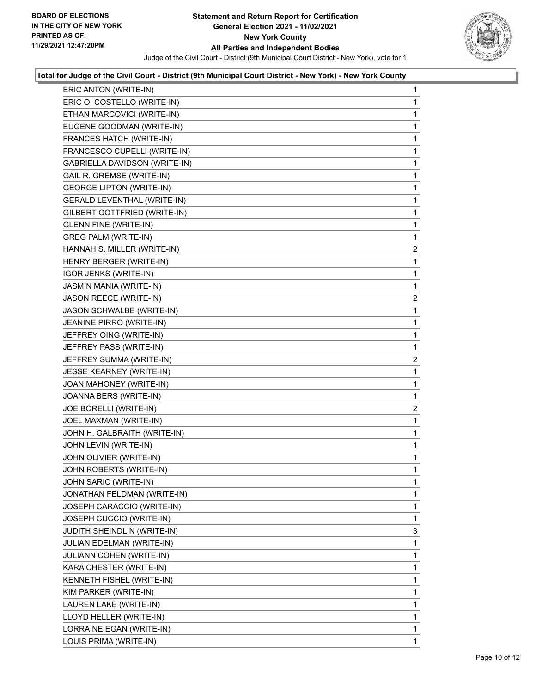

| ERIC ANTON (WRITE-IN)              | 1              |
|------------------------------------|----------------|
| ERIC O. COSTELLO (WRITE-IN)        | 1              |
| ETHAN MARCOVICI (WRITE-IN)         | 1              |
| EUGENE GOODMAN (WRITE-IN)          | 1              |
| FRANCES HATCH (WRITE-IN)           | 1              |
| FRANCESCO CUPELLI (WRITE-IN)       | 1              |
| GABRIELLA DAVIDSON (WRITE-IN)      | 1              |
| GAIL R. GREMSE (WRITE-IN)          | 1              |
| <b>GEORGE LIPTON (WRITE-IN)</b>    | 1              |
| <b>GERALD LEVENTHAL (WRITE-IN)</b> | 1              |
| GILBERT GOTTFRIED (WRITE-IN)       | 1              |
| <b>GLENN FINE (WRITE-IN)</b>       | 1              |
| <b>GREG PALM (WRITE-IN)</b>        | 1              |
| HANNAH S. MILLER (WRITE-IN)        | $\overline{2}$ |
| HENRY BERGER (WRITE-IN)            | 1              |
| IGOR JENKS (WRITE-IN)              | 1              |
| JASMIN MANIA (WRITE-IN)            | 1              |
| JASON REECE (WRITE-IN)             | $\overline{c}$ |
| JASON SCHWALBE (WRITE-IN)          | 1              |
| JEANINE PIRRO (WRITE-IN)           | 1              |
| JEFFREY OING (WRITE-IN)            | 1              |
| JEFFREY PASS (WRITE-IN)            | 1              |
| JEFFREY SUMMA (WRITE-IN)           | $\overline{2}$ |
| JESSE KEARNEY (WRITE-IN)           | 1              |
| JOAN MAHONEY (WRITE-IN)            | 1              |
| JOANNA BERS (WRITE-IN)             | 1              |
| JOE BORELLI (WRITE-IN)             | $\overline{2}$ |
| JOEL MAXMAN (WRITE-IN)             | 1              |
| JOHN H. GALBRAITH (WRITE-IN)       | 1              |
| JOHN LEVIN (WRITE-IN)              | 1              |
| JOHN OLIVIER (WRITE-IN)            | 1              |
| JOHN ROBERTS (WRITE-IN)            | 1              |
| JOHN SARIC (WRITE-IN)              | 1              |
| JONATHAN FELDMAN (WRITE-IN)        | 1              |
| JOSEPH CARACCIO (WRITE-IN)         | 1              |
| JOSEPH CUCCIO (WRITE-IN)           | 1              |
| JUDITH SHEINDLIN (WRITE-IN)        | 3              |
| JULIAN EDELMAN (WRITE-IN)          | 1              |
| JULIANN COHEN (WRITE-IN)           | 1              |
| KARA CHESTER (WRITE-IN)            | 1              |
| KENNETH FISHEL (WRITE-IN)          | 1              |
| KIM PARKER (WRITE-IN)              | 1              |
| LAUREN LAKE (WRITE-IN)             | 1              |
| LLOYD HELLER (WRITE-IN)            | 1              |
| LORRAINE EGAN (WRITE-IN)           | 1              |
| LOUIS PRIMA (WRITE-IN)             | 1              |
|                                    |                |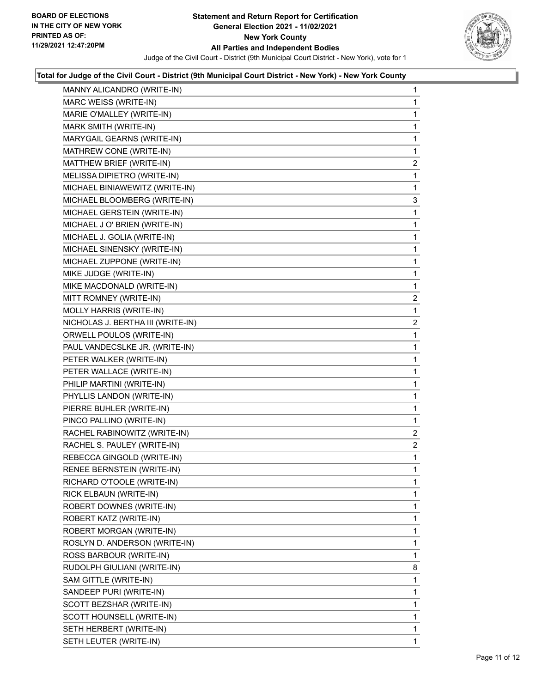

| MANNY ALICANDRO (WRITE-IN)        | $\mathbf{1}$   |
|-----------------------------------|----------------|
| MARC WEISS (WRITE-IN)             | 1              |
| MARIE O'MALLEY (WRITE-IN)         | 1              |
| MARK SMITH (WRITE-IN)             | 1              |
| MARYGAIL GEARNS (WRITE-IN)        | $\mathbf{1}$   |
| MATHREW CONE (WRITE-IN)           | 1              |
| MATTHEW BRIEF (WRITE-IN)          | $\overline{c}$ |
| MELISSA DIPIETRO (WRITE-IN)       | 1              |
| MICHAEL BINIAWEWITZ (WRITE-IN)    | 1              |
| MICHAEL BLOOMBERG (WRITE-IN)      | 3              |
| MICHAEL GERSTEIN (WRITE-IN)       | 1              |
| MICHAEL J O' BRIEN (WRITE-IN)     | 1              |
| MICHAEL J. GOLIA (WRITE-IN)       | 1              |
| MICHAEL SINENSKY (WRITE-IN)       | 1              |
| MICHAEL ZUPPONE (WRITE-IN)        | 1              |
| MIKE JUDGE (WRITE-IN)             | $\mathbf{1}$   |
| MIKE MACDONALD (WRITE-IN)         | 1              |
| MITT ROMNEY (WRITE-IN)            | $\overline{a}$ |
| MOLLY HARRIS (WRITE-IN)           | 1              |
| NICHOLAS J. BERTHA III (WRITE-IN) | $\overline{2}$ |
| ORWELL POULOS (WRITE-IN)          | 1              |
| PAUL VANDECSLKE JR. (WRITE-IN)    | 1              |
| PETER WALKER (WRITE-IN)           | 1              |
| PETER WALLACE (WRITE-IN)          | 1              |
| PHILIP MARTINI (WRITE-IN)         | 1              |
| PHYLLIS LANDON (WRITE-IN)         | 1              |
| PIERRE BUHLER (WRITE-IN)          | 1              |
| PINCO PALLINO (WRITE-IN)          | 1              |
| RACHEL RABINOWITZ (WRITE-IN)      | $\overline{2}$ |
| RACHEL S. PAULEY (WRITE-IN)       | $\overline{a}$ |
| REBECCA GINGOLD (WRITE-IN)        | $\mathbf{1}$   |
| RENEE BERNSTEIN (WRITE-IN)        | 1              |
| RICHARD O'TOOLE (WRITE-IN)        | 1              |
| RICK ELBAUN (WRITE-IN)            | 1              |
| ROBERT DOWNES (WRITE-IN)          | 1              |
| ROBERT KATZ (WRITE-IN)            | 1              |
| ROBERT MORGAN (WRITE-IN)          | 1              |
| ROSLYN D. ANDERSON (WRITE-IN)     | 1              |
| ROSS BARBOUR (WRITE-IN)           | 1              |
| RUDOLPH GIULIANI (WRITE-IN)       | 8              |
| SAM GITTLE (WRITE-IN)             | 1              |
| SANDEEP PURI (WRITE-IN)           | 1              |
| SCOTT BEZSHAR (WRITE-IN)          | 1              |
| SCOTT HOUNSELL (WRITE-IN)         | 1              |
| SETH HERBERT (WRITE-IN)           | 1              |
| SETH LEUTER (WRITE-IN)            | 1.             |
|                                   |                |